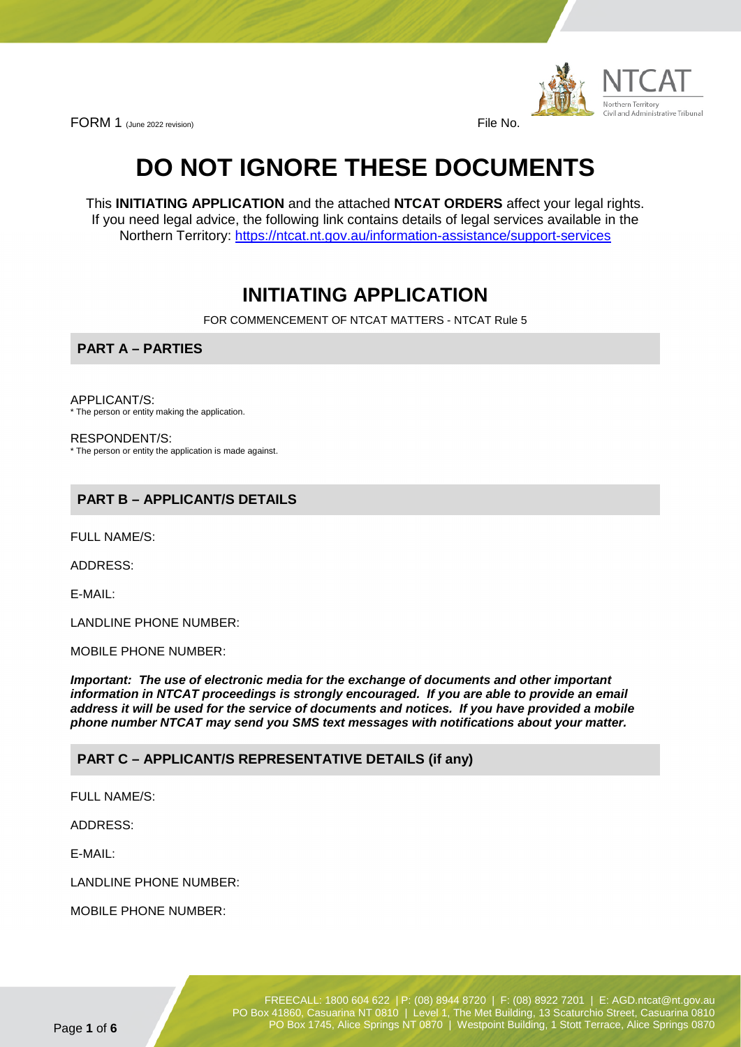

FORM 1 (June 2022 revision) File No. 2004 1: 1999 1: 1999 1: 1999 1: 1999 1: 1999 1: 1999 1: 1999 1: 1999 1: 1999 1: 1999 1: 1999 1: 1999 1: 1999 1: 1999 1: 1999 1: 1999 1: 1999 1: 1999 1: 1999 1: 1999 1: 1999 1: 1999 1: 1

# **DO NOT IGNORE THESE DOCUMENTS**

This **INITIATING APPLICATION** and the attached **NTCAT ORDERS** affect your legal rights. If you need legal advice, the following link contains details of legal services available in the Northern Territory: https://ntcat.nt.gov.au/information-assistance/support-services

## **INITIATING APPLICATION**

FOR COMMENCEMENT OF NTCAT MATTERS - NTCAT Rule 5

**PART A – PARTIES** 

APPLICANT/S: \* The person or entity making the application.

RESPONDENT/S: \* The person or entity the application is made against.

## **PART B – APPLICANT/S DETAILS**

FULL NAME/S:

ADDRESS:

E-MAIL:

LANDLINE PHONE NUMBER:

MOBILE PHONE NUMBER:

*Important: The use of electronic media for the exchange of documents and other important information in NTCAT proceedings is strongly encouraged. If you are able to provide an email address it will be used for the service of documents and notices. If you have provided a mobile phone number NTCAT may send you SMS text messages with notifications about your matter.* 

## **PART C – APPLICANT/S REPRESENTATIVE DETAILS (if any)**

FULL NAME/S:

ADDRESS:

E-MAIL:

LANDLINE PHONE NUMBER:

MOBILE PHONE NUMBER: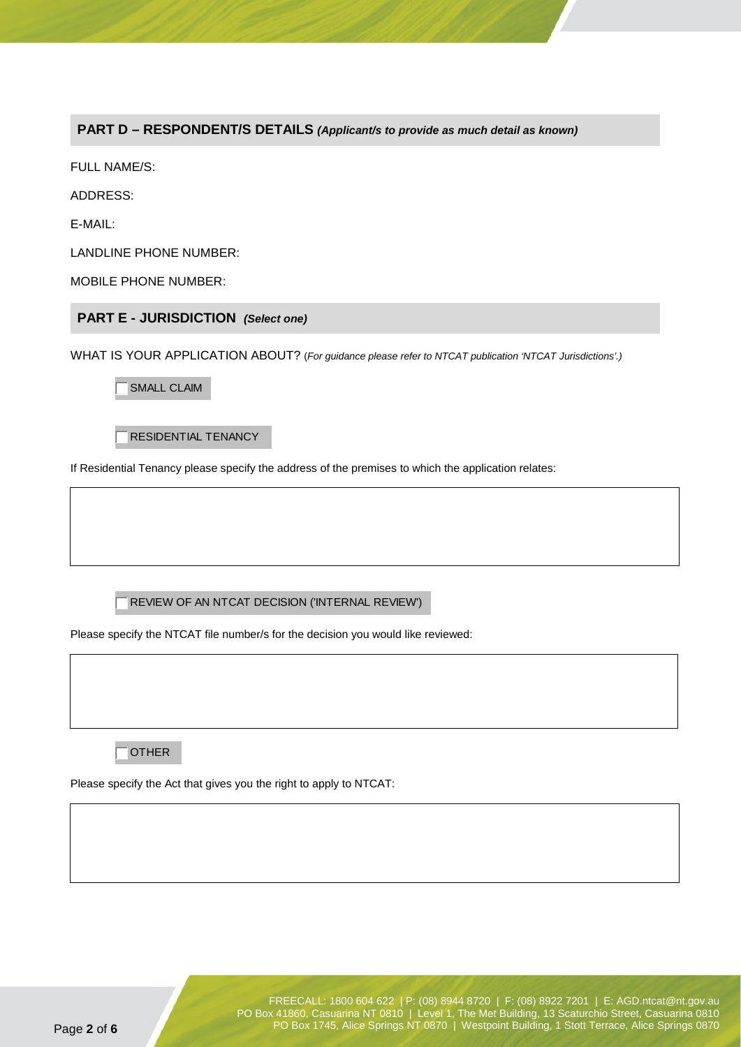## **PART D – RESPONDENT/S DETAILS** *(Applicant/s to provide as much detail as known)*

FULL NAME/S:

ADDRESS:

E-MAIL:

LANDLINE PHONE NUMBER:

MOBILE PHONE NUMBER:

## **PART E - JURISDICTION** *(Select one)*

WHAT IS YOUR APPLICATION ABOUT? (*For guidance please refer to NTCAT publication 'NTCAT Jurisdictions'.)*

SMALL CLAIM

RESIDENTIAL TENANCY

If Residential Tenancy please specify the address of the premises to which the application relates:

#### REVIEW OF AN NTCAT DECISION ('INTERNAL REVIEW')

Please specify the NTCAT file number/s for the decision you would like reviewed:

OTHER

Please specify the Act that gives you the right to apply to NTCAT: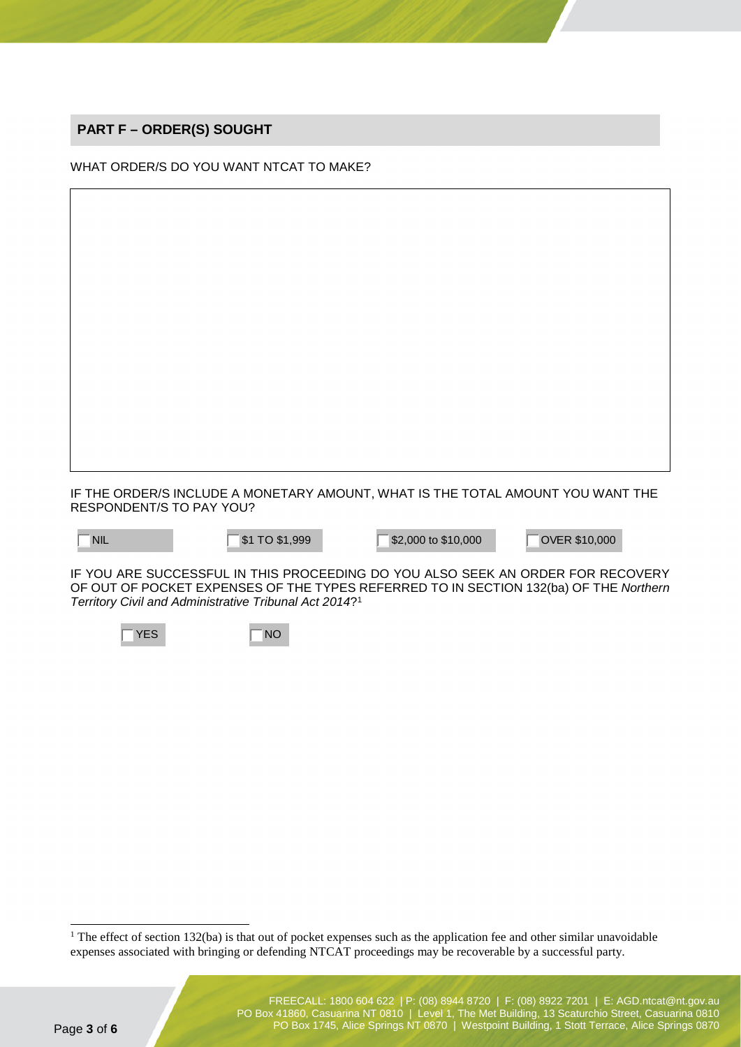## **PART F – ORDER(S) SOUGHT**

WHAT ORDER/S DO YOU WANT NTCAT TO MAKE?

IF THE ORDER/S INCLUDE A MONETARY AMOUNT, WHAT IS THE TOTAL AMOUNT YOU WANT THE RESPONDENT/S TO PAY YOU?

NIL \$1 TO \$1,999 \$2,000 to \$10,000 OVER \$10,000

IF YOU ARE SUCCESSFUL IN THIS PROCEEDING DO YOU ALSO SEEK AN ORDER FOR RECOVERY OF OUT OF POCKET EXPENSES OF THE TYPES REFERRED TO IN SECTION 132(ba) OF THE *Northern Territory Civil and Administrative Tribunal Act 2014*? 1

 $YES$   $\neg$  NO

<sup>&</sup>lt;sup>1</sup> The effect of section 132(ba) is that out of pocket expenses such as the application fee and other similar unavoidable expenses associated with bringing or defending NTCAT proceedings may be recoverable by a successful party.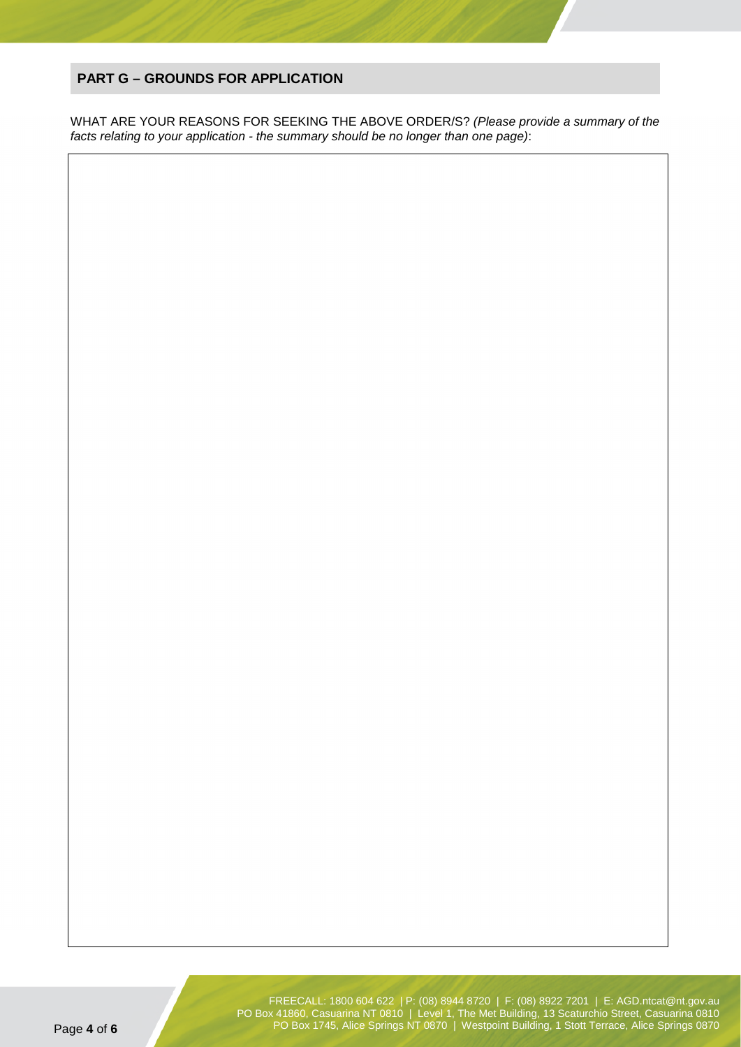## **PART G – GROUNDS FOR APPLICATION**

WHAT ARE YOUR REASONS FOR SEEKING THE ABOVE ORDER/S? *(Please provide a summary of the facts relating to your application - the summary should be no longer than one page)*:

 FREECALL: 1800 604 622 | P: (08) 8944 8720 | F: (08) 8922 7201 | E: AGD.ntcat@nt.gov.au PO Box 41860, Casuarina NT 0810 | Level 1, The Met Building, 13 Scaturchio Street, Casuarina 0810 Page 4 of 6 **6** PO Box 1745, Alice Springs NT 0870 | Westpoint Building, 1 Stott Terrace, Alice Springs 0870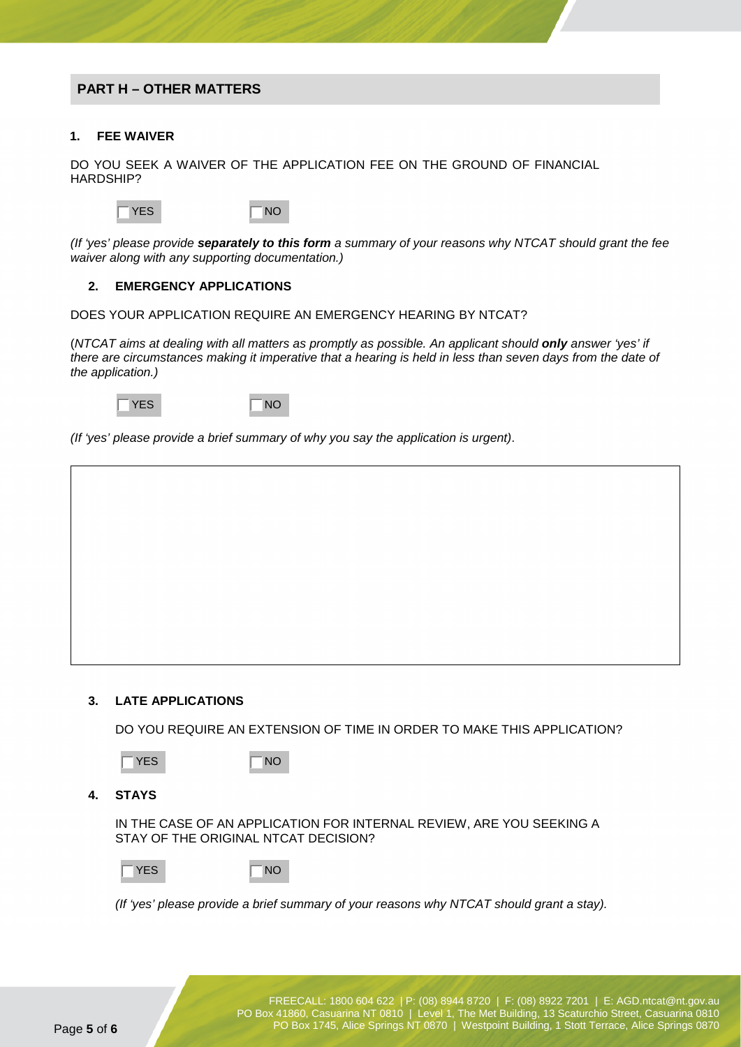## **PART H – OTHER MATTERS**

#### **1. FEE WAIVER**

DO YOU SEEK A WAIVER OF THE APPLICATION FEE ON THE GROUND OF FINANCIAL HARDSHIP?



*(If 'yes' please provide separately to this form a summary of your reasons why NTCAT should grant the fee waiver along with any supporting documentation.)* 

#### **2. EMERGENCY APPLICATIONS**

DOES YOUR APPLICATION REQUIRE AN EMERGENCY HEARING BY NTCAT?

(*NTCAT aims at dealing with all matters as promptly as possible. An applicant should only answer 'yes' if there are circumstances making it imperative that a hearing is held in less than seven days from the date of the application.)* 



*(If 'yes' please provide a brief summary of why you say the application is urgent)*.



#### **3. LATE APPLICATIONS**

DO YOU REQUIRE AN EXTENSION OF TIME IN ORDER TO MAKE THIS APPLICATION?



 $YES$   $\neg$   $\neg$   $NQ$ 

#### **4. STAYS**

IN THE CASE OF AN APPLICATION FOR INTERNAL REVIEW, ARE YOU SEEKING A STAY OF THE ORIGINAL NTCAT DECISION?



*(If 'yes' please provide a brief summary of your reasons why NTCAT should grant a stay).*